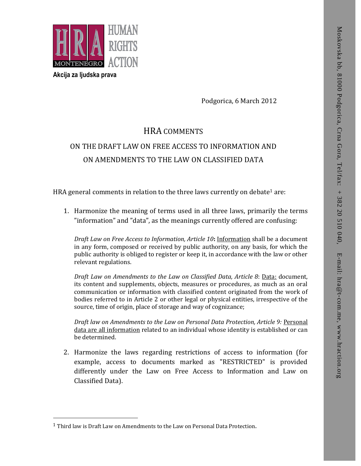

**Akcija za ljudska prava**

 $\overline{a}$ 

Podgorica, 6 March 2012

## HRA COMMENTS ON THE DRAFT LAW ON FREE ACCESS TO INFORMATION AND ON AMENDMENTS TO THE LAW ON CLASSIFIED DATA

HRA general comments in relation to the three laws currently on debate<sup>1</sup> are:

1. Harmonize the meaning of terms used in all three laws, primarily the terms "information" and "data", as the meanings currently offered are confusing:

*Draft Law on Free Access to Information, Article 10***:** Information shall be a document in any form, composed or received by public authority, on any basis, for which the public authority is obliged to register or keep it, in accordance with the law or other relevant regulations.

*Draft Law on Amendments to the Law on Classified Data, Article 8*: Data: document, its content and supplements, objects, measures or procedures, as much as an oral communication or information with classified content originated from the work of bodies referred to in Article 2 or other legal or physical entities, irrespective of the source, time of origin, place of storage and way of cognizance; **11 Third MARK SECTION AND SECTION CONSULTS**<br> **EXAMPLE THE LAW ON THE DRAFT LAW ON TREE ACCESS TO INFORMATION AND<br>
ON THE DRAFT LAW ON REE ACCESS TO INFORMATION AND<br>
ON THE DRAFT LAW ON REE ACCESS TO INFORMATION AND<br>
ON AM** 

*Draft law on Amendments to the Law on Personal Data Protection, Article 9:* Personal data are all information related to an individual whose identity is established or can be determined.

2. Harmonize the laws regarding restrictions of access to information (for example, access to documents marked as "RESTRICTED" is provided differently under the Law on Free Access to Information and Law on Classified Data).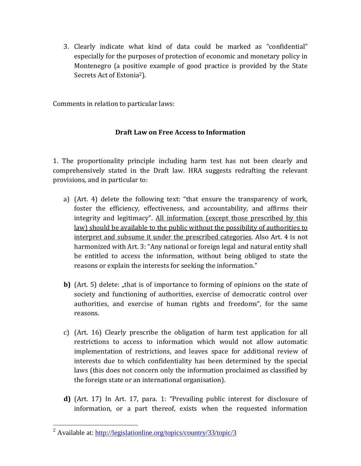3. Clearly indicate what kind of data could be marked as "confidential" especially for the purposes of protection of economic and monetary policy in Montenegro (a positive example of good practice is provided by the State Secrets Act of Estonia<sup>2</sup>).

Comments in relation to particular laws:

## **Draft Law on Free Access to Information**

1. The proportionality principle including harm test has not been clearly and comprehensively stated in the Draft law. HRA suggests redrafting the relevant provisions, and in particular to:

- a) (Art. 4) delete the following text: "that ensure the transparency of work, foster the efficiency, effectiveness, and accountability, and affirms their integrity and legitimacy". All information (except those prescribed by this law) should be available to the public without the possibility of authorities to interpret and subsume it under the prescribed categories. Also Art. 4 is not harmonized with Art. 3: "Any national or foreign legal and natural entity shall be entitled to access the information, without being obliged to state the reasons or explain the interests for seeking the information."
- **b)** (Art. 5) delete: "that is of importance to forming of opinions on the state of society and functioning of authorities, exercise of democratic control over authorities, and exercise of human rights and freedoms", for the same reasons.
- c) (Art. 16) Clearly prescribe the obligation of harm test application for all restrictions to access to information which would not allow automatic implementation of restrictions, and leaves space for additional review of interests due to which confidentiality has been determined by the special laws (this does not concern only the information proclaimed as classified by the foreign state or an international organisation).
- **d)** (Art. 17) In Art. 17, para. 1: "Prevailing public interest for disclosure of information, or a part thereof, exists when the requested information

 $\overline{a}$ <sup>2</sup> Available at:<http://legislationline.org/topics/country/33/topic/3>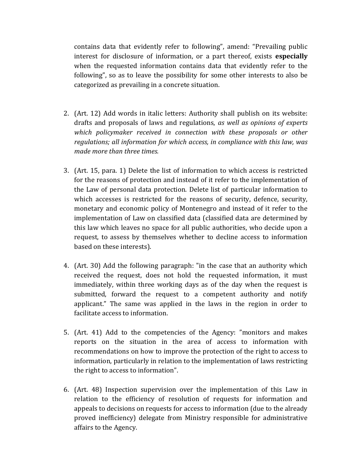contains data that evidently refer to following", amend: "Prevailing public interest for disclosure of information, or a part thereof, exists **especially** when the requested information contains data that evidently refer to the following", so as to leave the possibility for some other interests to also be categorized as prevailing in a concrete situation.

- 2. (Art. 12) Add words in italic letters: Authority shall publish on its website: drafts and proposals of laws and regulations, *as well as opinions of experts which policymaker received in connection with these proposals or other regulations; all information for which access, in compliance with this law, was made more than three times.*
- 3. (Art. 15, para. 1) Delete the list of information to which access is restricted for the reasons of protection and instead of it refer to the implementation of the Law of personal data protection. Delete list of particular information to which accesses is restricted for the reasons of security, defence, security, monetary and economic policy of Montenegro and instead of it refer to the implementation of Law on classified data (classified data are determined by this law which leaves no space for all public authorities, who decide upon a request, to assess by themselves whether to decline access to information based on these interests).
- 4. (Art. 30) Add the following paragraph: "in the case that an authority which received the request, does not hold the requested information, it must immediately, within three working days as of the day when the request is submitted, forward the request to a competent authority and notify applicant." The same was applied in the laws in the region in order to facilitate access to information.
- 5. (Art. 41) Add to the competencies of the Agency: "monitors and makes reports on the situation in the area of access to information with recommendations on how to improve the protection of the right to access to information, particularly in relation to the implementation of laws restricting the right to access to information".
- 6. (Art. 48) Inspection supervision over the implementation of this Law in relation to the efficiency of resolution of requests for information and appeals to decisions on requests for access to information (due to the already proved inefficiency) delegate from Ministry responsible for administrative affairs to the Agency.